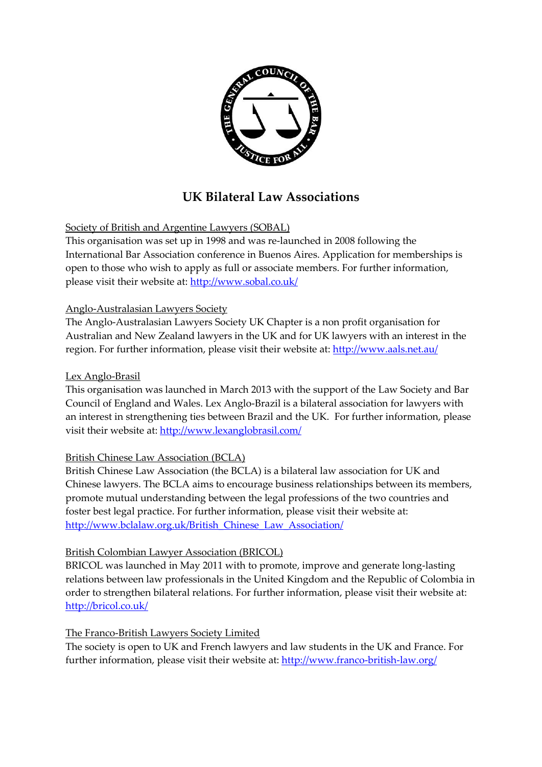

# **UK Bilateral Law Associations**

Society of British and Argentine Lawyers (SOBAL)

This organisation was set up in 1998 and was re-launched in 2008 following the International Bar Association conference in Buenos Aires. Application for memberships is open to those who wish to apply as full or associate members. For further information, please visit their website at: <http://www.sobal.co.uk/>

### Anglo-Australasian Lawyers Society

The Anglo-Australasian Lawyers Society UK Chapter is a non profit organisation for Australian and New Zealand lawyers in the UK and for UK lawyers with an interest in the region. For further information, please visit their website at: <http://www.aals.net.au/>

#### Lex Anglo-Brasil

This organisation was launched in March 2013 with the support of the Law Society and Bar Council of England and Wales. Lex Anglo-Brazil is a bilateral association for lawyers with an interest in strengthening ties between Brazil and the UK. For further information, please visit their website at:<http://www.lexanglobrasil.com/>

### British Chinese Law Association (BCLA)

British Chinese Law Association (the BCLA) is a bilateral law association for UK and Chinese lawyers. The BCLA aims to encourage business relationships between its members, promote mutual understanding between the legal professions of the two countries and foster best legal practice. For further information, please visit their website at: [http://www.bclalaw.org.uk/British\\_Chinese\\_Law\\_Association/](http://www.bclalaw.org.uk/British_Chinese_Law_Association/)

### British Colombian Lawyer Association (BRICOL)

BRICOL was launched in May 2011 with to promote, improve and generate long-lasting relations between law professionals in the United Kingdom and the Republic of Colombia in order to strengthen bilateral relations. For further information, please visit their website at: <http://bricol.co.uk/>

### The Franco-British Lawyers Society Limited

The society is open to UK and French lawyers and law students in the UK and France. For further information, please visit their website at:<http://www.franco-british-law.org/>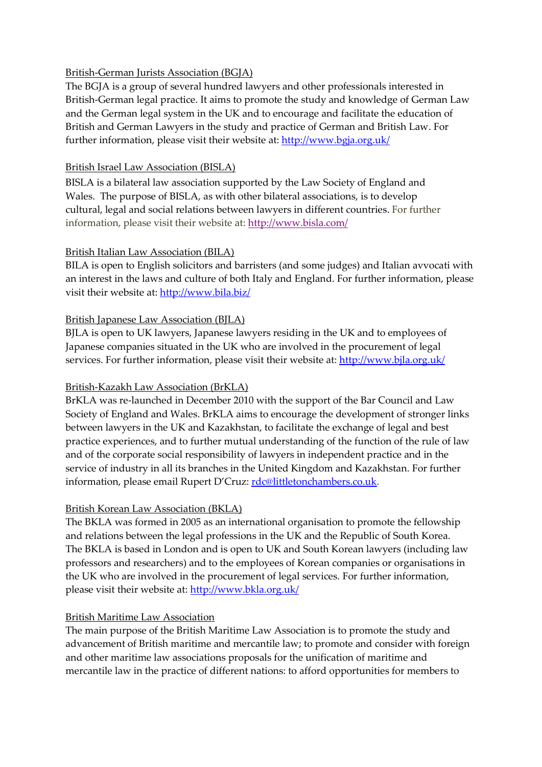### British-German Jurists Association (BGJA)

The BGJA is a group of several hundred lawyers and other professionals interested in British-German legal practice. It aims to promote the study and knowledge of German Law and the German legal system in the UK and to encourage and facilitate the education of British and German Lawyers in the study and practice of German and British Law. For further information, please visit their website at: <http://www.bgja.org.uk/>

#### British Israel Law Association (BISLA)

BISLA is a bilateral law association supported by the Law Society of England and Wales. The purpose of BISLA, as with other bilateral associations, is to develop cultural, legal and social relations between lawyers in different countries. For further information, please visit their website at: [http://www.bisla.com/](http://www.bisla.com/index.php)

#### British Italian Law Association (BILA)

BILA is open to English solicitors and barristers (and some judges) and Italian avvocati with an interest in the laws and culture of both Italy and England. For further information, please visit their website at:<http://www.bila.biz/>

#### British Japanese Law Association (BJLA)

BJLA is open to UK lawyers, Japanese lawyers residing in the UK and to employees of Japanese companies situated in the UK who are involved in the procurement of legal services. For further information, please visit their website at: <http://www.bjla.org.uk/>

#### British-Kazakh Law Association (BrKLA)

BrKLA was re-launched in December 2010 with the support of the Bar Council and Law Society of England and Wales. BrKLA aims to encourage the development of stronger links between lawyers in the UK and Kazakhstan, to facilitate the exchange of legal and best practice experiences, and to further mutual understanding of the function of the rule of law and of the corporate social responsibility of lawyers in independent practice and in the service of industry in all its branches in the United Kingdom and Kazakhstan. For further information, please email Rupert D'Cruz: [rdc@littletonchambers.co.uk.](mailto:rdc@littletonchambers.co.uk)

#### British Korean Law Association (BKLA)

The BKLA was formed in 2005 as an international organisation to promote the fellowship and relations between the legal professions in the UK and the Republic of South Korea. The BKLA is based in London and is open to UK and South Korean lawyers (including law professors and researchers) and to the employees of Korean companies or organisations in the UK who are involved in the procurement of legal services. For further information, please visit their website at: <http://www.bkla.org.uk/>

### British Maritime Law Association

The main purpose of the British Maritime Law Association is to promote the study and advancement of British maritime and mercantile law; to promote and consider with foreign and other maritime law associations proposals for the unification of maritime and mercantile law in the practice of different nations: to afford opportunities for members to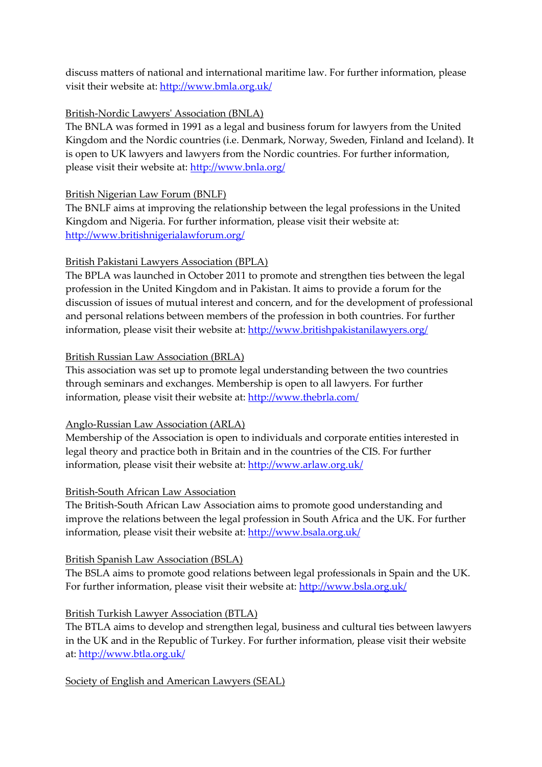discuss matters of national and international maritime law. For further information, please visit their website at: <http://www.bmla.org.uk/>

### British-Nordic Lawyers' Association (BNLA)

The BNLA was formed in 1991 as a legal and business forum for lawyers from the United Kingdom and the Nordic countries (i.e. Denmark, Norway, Sweden, Finland and Iceland). It is open to UK lawyers and lawyers from the Nordic countries. For further information, please visit their website at:<http://www.bnla.org/>

## British Nigerian Law Forum (BNLF)

The BNLF aims at improving the relationship between the legal professions in the United Kingdom and Nigeria. For further information, please visit their website at: <http://www.britishnigerialawforum.org/>

## British Pakistani Lawyers Association (BPLA)

The BPLA was launched in October 2011 to promote and strengthen ties between the legal profession in the United Kingdom and in Pakistan. It aims to provide a forum for the discussion of issues of mutual interest and concern, and for the development of professional and personal relations between members of the profession in both countries. For further information, please visit their website at: <http://www.britishpakistanilawyers.org/>

### British Russian Law Association (BRLA)

This association was set up to promote legal understanding between the two countries through seminars and exchanges. Membership is open to all lawyers. For further information, please visit their website at:<http://www.thebrla.com/>

### Anglo-Russian Law Association (ARLA)

Membership of the Association is open to individuals and corporate entities interested in legal theory and practice both in Britain and in the countries of the CIS. For further information, please visit their website at:<http://www.arlaw.org.uk/>

### British-South African Law Association

The British-South African Law Association aims to promote good understanding and improve the relations between the legal profession in South Africa and the UK. For further information, please visit their website at: <http://www.bsala.org.uk/>

## British Spanish Law Association (BSLA)

The BSLA aims to promote good relations between legal professionals in Spain and the UK. For further information, please visit their website at: <http://www.bsla.org.uk/>

## British Turkish Lawyer Association (BTLA)

The BTLA aims to develop and strengthen legal, business and cultural ties between lawyers in the UK and in the Republic of Turkey. For further information, please visit their website at: <http://www.btla.org.uk/>

### Society of English and American Lawyers (SEAL)